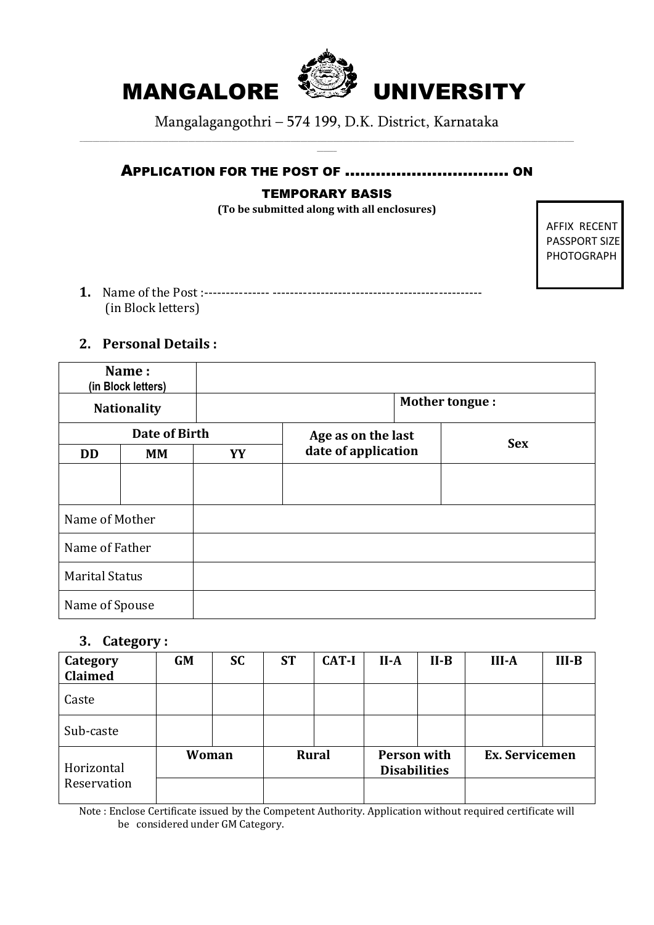

Mangalagangothri – 574 199, D.K. District, Karnataka \_\_\_\_\_\_\_\_\_\_\_\_\_\_\_\_\_\_\_\_\_\_\_\_\_\_\_\_\_\_\_\_\_\_\_\_\_\_\_\_\_\_\_\_\_\_\_\_\_\_\_\_\_\_\_\_\_\_\_\_\_\_\_\_\_\_\_\_\_\_\_\_\_\_\_\_\_\_\_\_\_\_\_\_\_\_\_\_\_\_\_\_\_\_\_\_\_\_\_\_\_\_\_\_\_\_\_\_\_\_\_\_\_\_\_\_\_\_\_\_\_\_\_\_\_\_\_\_\_\_\_\_\_\_\_\_\_\_\_\_\_\_\_\_\_\_\_\_\_\_

### APPLICATION FOR THE POST OF ………………………..… ON

 $\overline{\phantom{a}}$ 

#### TEMPORARY BASIS

**(To be submitted along with all enclosures)**

AFFIX RECENT PASSPORT SIZE PHOTOGRAPH

**1.** Name of the Post :--------------- ------------------------------------------------ (in Block letters)

### **2. Personal Details :**

| Name:<br>(in Block letters) |           |    |                     |                       |            |
|-----------------------------|-----------|----|---------------------|-----------------------|------------|
| <b>Nationality</b>          |           |    |                     | <b>Mother tongue:</b> |            |
| Date of Birth               |           |    | Age as on the last  |                       | <b>Sex</b> |
| <b>DD</b>                   | <b>MM</b> | YY | date of application |                       |            |
|                             |           |    |                     |                       |            |
| Name of Mother              |           |    |                     |                       |            |
| Name of Father              |           |    |                     |                       |            |
| <b>Marital Status</b>       |           |    |                     |                       |            |
| Name of Spouse              |           |    |                     |                       |            |

#### **3. Category :**

| Category<br><b>Claimed</b> | <b>GM</b> | <b>SC</b> | <b>ST</b>    | CAT-I | $II-A$                                    | $II-B$ | $III-A$        | $III-B$ |
|----------------------------|-----------|-----------|--------------|-------|-------------------------------------------|--------|----------------|---------|
| Caste                      |           |           |              |       |                                           |        |                |         |
| Sub-caste                  |           |           |              |       |                                           |        |                |         |
| Horizontal                 | Woman     |           | <b>Rural</b> |       | <b>Person with</b><br><b>Disabilities</b> |        | Ex. Servicemen |         |
| Reservation                |           |           |              |       |                                           |        |                |         |

Note : Enclose Certificate issued by the Competent Authority. Application without required certificate will be considered under GM Category.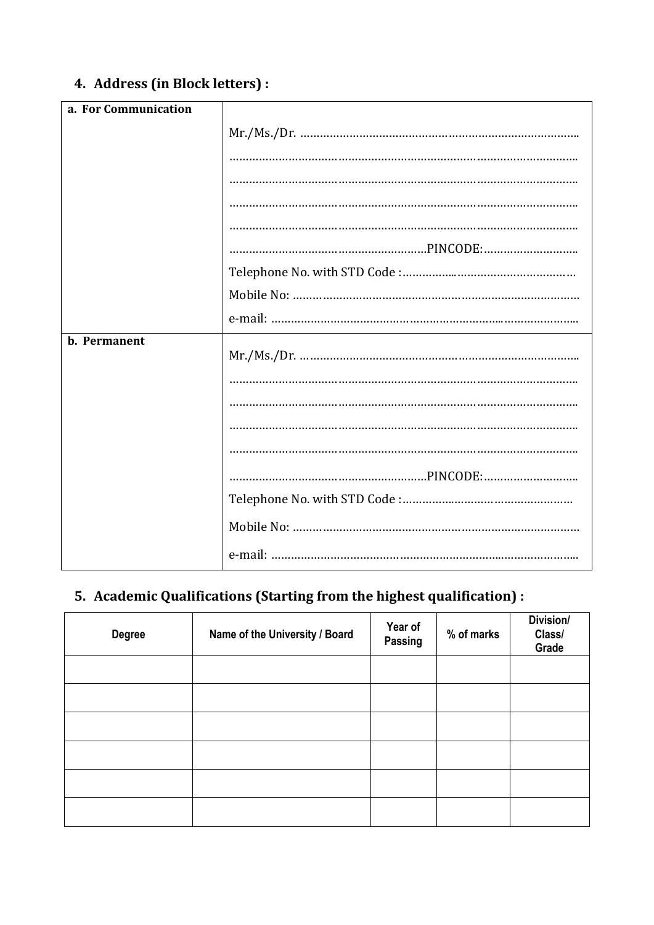## **4. Address (in Block letters) :**

| a. For Communication |  |
|----------------------|--|
|                      |  |
|                      |  |
|                      |  |
|                      |  |
|                      |  |
|                      |  |
|                      |  |
|                      |  |
|                      |  |
| b. Permanent         |  |
|                      |  |
|                      |  |
|                      |  |
|                      |  |
|                      |  |
|                      |  |
|                      |  |
|                      |  |

### **5. Academic Qualifications (Starting from the highest qualification) :**

| <b>Degree</b> | Name of the University / Board | Year of<br>Passing | % of marks | Division/<br>Class/<br>Grade |
|---------------|--------------------------------|--------------------|------------|------------------------------|
|               |                                |                    |            |                              |
|               |                                |                    |            |                              |
|               |                                |                    |            |                              |
|               |                                |                    |            |                              |
|               |                                |                    |            |                              |
|               |                                |                    |            |                              |